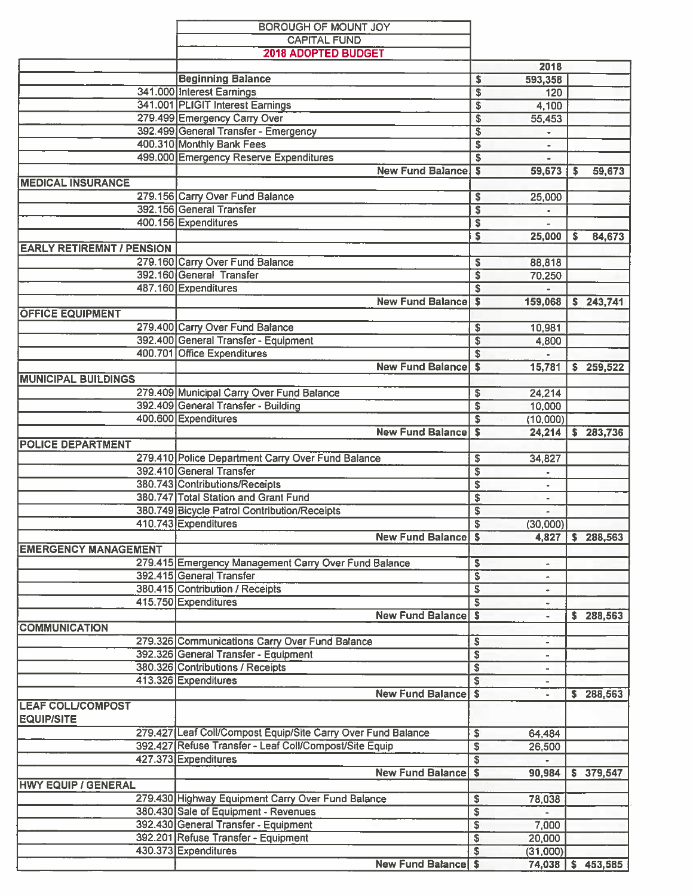|                                  | BOROUGH OF MOUNT JOY                                         |                         |                              |    |                     |
|----------------------------------|--------------------------------------------------------------|-------------------------|------------------------------|----|---------------------|
|                                  | <b>CAPITAL FUND</b>                                          |                         |                              |    |                     |
|                                  | <b>2018 ADOPTED BUDGET</b>                                   |                         |                              |    |                     |
|                                  |                                                              |                         | 2018                         |    |                     |
|                                  | <b>Beginning Balance</b>                                     | s                       | 593,358                      |    |                     |
|                                  | 341.000 Interest Earnings                                    | \$                      | 120                          |    |                     |
|                                  | 341.001 PLIGIT Interest Earnings                             | \$                      | 4,100                        |    |                     |
|                                  | 279.499 Emergency Carry Over                                 | $\overline{\mathsf{s}}$ | 55,453                       |    |                     |
|                                  | 392.499 General Transfer - Emergency                         | \$                      |                              |    |                     |
|                                  | 400.310 Monthly Bank Fees                                    | $\overline{\mathsf{s}}$ |                              |    |                     |
|                                  | 499.000 Emergency Reserve Expenditures                       | $\overline{\mathbf{s}}$ | ٠                            |    |                     |
|                                  | <b>New Fund Balance</b>                                      | $\overline{\mathsf{s}}$ | 59,673                       | S  | 59,673              |
| <b>MEDICAL INSURANCE</b>         |                                                              |                         |                              |    |                     |
|                                  |                                                              |                         |                              |    |                     |
|                                  | 279.156 Carry Over Fund Balance<br>392.156 General Transfer  | S                       | 25,000                       |    |                     |
|                                  |                                                              | $\overline{\$}$         |                              |    |                     |
|                                  | 400.156 Expenditures                                         | \$                      |                              |    |                     |
|                                  |                                                              | s                       | 25,000                       | s  | 84,673              |
| <b>EARLY RETIREMNT / PENSION</b> |                                                              |                         |                              |    |                     |
|                                  | 279.160 Carry Over Fund Balance                              | s                       | 88,818                       |    |                     |
|                                  | 392.160 General Transfer                                     | \$                      | 70,250                       |    |                     |
|                                  | 487.160 Expenditures                                         | s                       |                              |    |                     |
|                                  | <b>New Fund Balance</b>                                      | S                       | 159,068                      |    | \$243,741           |
| <b>OFFICE EQUIPMENT</b>          |                                                              |                         |                              |    |                     |
|                                  | 279.400 Carry Over Fund Balance                              | \$                      | 10,981                       |    |                     |
|                                  | 392.400 General Transfer - Equipment                         | $\overline{\mathbb{s}}$ | 4,800                        |    |                     |
|                                  | 400.701 Office Expenditures                                  | S                       |                              |    |                     |
|                                  | <b>New Fund Balance</b>                                      | S                       | 15,781                       |    | \$259,522           |
| <b>MUNICIPAL BUILDINGS</b>       |                                                              |                         |                              |    |                     |
|                                  |                                                              |                         |                              |    |                     |
|                                  | 279.409 Municipal Carry Over Fund Balance                    | S                       | 24,214                       |    |                     |
|                                  | 392.409 General Transfer - Building                          | \$                      | 10,000                       |    |                     |
|                                  | 400.600 Expenditures                                         | S                       | (10,000)                     |    |                     |
|                                  | <b>New Fund Balance</b>                                      | $\sim$                  | 24,214                       |    | \$283,736           |
| <b>POLICE DEPARTMENT</b>         |                                                              |                         |                              |    |                     |
|                                  | 279.410 Police Department Carry Over Fund Balance            | s                       | 34,827                       |    |                     |
|                                  | 392.410 General Transfer                                     | $\overline{\mathbb{S}}$ | $\bullet$                    |    |                     |
|                                  | 380.743 Contributions/Receipts                               | \$                      |                              |    |                     |
|                                  | 380.747 Total Station and Grant Fund                         | \$                      | $\overline{\phantom{a}}$     |    |                     |
|                                  | 380.749 Bicycle Patrol Contribution/Receipts                 | \$                      | $\qquad \qquad \blacksquare$ |    |                     |
|                                  | 410.743 Expenditures                                         | \$                      | (30,000)                     |    |                     |
|                                  | <b>New Fund Balance \$</b>                                   |                         |                              |    | 4,827 \$ 288,563    |
| <b>EMERGENCY MANAGEMENT</b>      |                                                              |                         |                              |    |                     |
|                                  | 279.415 Emergency Management Carry Over Fund Balance         | \$                      |                              |    |                     |
|                                  | 392.415 General Transfer                                     | $\overline{\mathbf{s}}$ |                              |    |                     |
|                                  | 380.415 Contribution / Receipts                              | \$                      | $\blacksquare$               |    |                     |
|                                  | 415.750 Expenditures                                         | \$                      |                              |    |                     |
|                                  | <b>New Fund Balance</b>                                      | $\mathbf{s}$            | $\blacksquare$<br>÷.         |    |                     |
| <b>COMMUNICATION</b>             |                                                              |                         |                              |    | \$288,563           |
|                                  |                                                              |                         |                              |    |                     |
|                                  | 279.326 Communications Carry Over Fund Balance               | \$                      | $\overline{\phantom{a}}$     |    |                     |
|                                  | 392.326 General Transfer - Equipment                         | \$                      |                              |    |                     |
|                                  | 380.326 Contributions / Receipts                             | \$                      |                              |    |                     |
|                                  | 413.326 Expenditures                                         | \$                      |                              |    |                     |
|                                  | <b>New Fund Balance</b>                                      | $\overline{\mathbf{s}}$ | $\overline{\phantom{a}}$     | S. | 288,563             |
| <b>LEAF COLL/COMPOST</b>         |                                                              |                         |                              |    |                     |
| <b>EQUIP/SITE</b>                |                                                              |                         |                              |    |                     |
|                                  | 279.427 Leaf Coll/Compost Equip/Site Carry Over Fund Balance | \$                      | 64,484                       |    |                     |
|                                  | 392.427 Refuse Transfer - Leaf Coll/Compost/Site Equip       | $\overline{\$}$         | 26,500                       |    |                     |
|                                  | 427.373 Expenditures                                         | \$                      |                              |    |                     |
|                                  | <b>New Fund Balance</b>                                      | $\boldsymbol{s}$        | 90,984                       |    | \$379,547           |
| <b>HWY EQUIP / GENERAL</b>       |                                                              |                         |                              |    |                     |
|                                  | 279.430 Highway Equipment Carry Over Fund Balance            | \$                      | 78,038                       |    |                     |
|                                  | 380.430 Sale of Equipment - Revenues                         | \$                      |                              |    |                     |
|                                  | 392.430 General Transfer - Equipment                         | \$                      | 7,000                        |    |                     |
|                                  | 392.201 Refuse Transfer - Equipment                          |                         |                              |    |                     |
|                                  |                                                              | \$                      | 20,000                       |    |                     |
|                                  | 430.373 Expenditures                                         | \$                      | (31,000)                     |    |                     |
|                                  | <b>New Fund Balance</b> \$                                   |                         |                              |    | 74,038   \$ 453,585 |